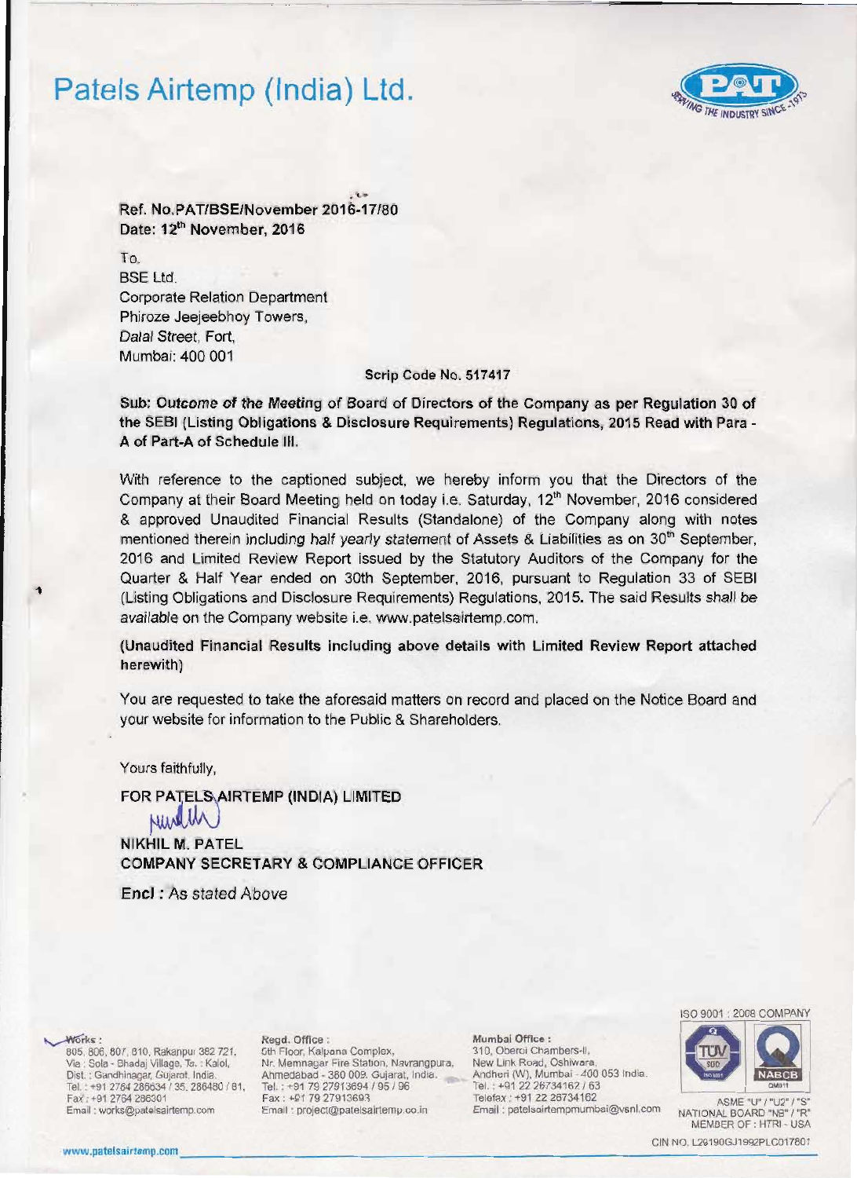# Patels Airtemp (India) Ltd.



.~ Ref. No.PAT/SSE/November 2016-17/80 Date: 12<sup>th</sup> November, 2016

To. SSE Ltd. Corporate Relation Department Phiroze Jeejeebhoy Towers, Dalal Street. Fort. Mumbai: 400 001

### Scrip Code No. 517417

Sub: Outcome of the Meeting of Board of Directors of the Company as per Regulation 30 of the SEBI (Listing Obligations & Disclosure Requirements) Regulations, 2015 Read with Para -A of Part-A of Schedule III.

With reference to the captioned subject, we hereby inform you that the Directors of the Company at their Board Meeting held on today i.e. Saturday, 12<sup>th</sup> November, 2016 considered & approved Unaudited Financial Results (Standalone) of the Company along with notes mentioned therein including half yearly statement of Assets & Liabilities as on  $30<sup>th</sup>$  September, 2016 and limited Review Report issued by the Statutory Auditors of the Company for the Quarter & Half Year ended on 30th September, 2016, pursuant to Regulation 33 of SEBI (Listing Obligations and Disclosure Requirements) Regulations, 2015. The said Results shall be available on the Company website i.e. www.patelsairtemp.com.

(Unaudited Financial Results including above details with limited Review Report attached herewith)

You are requested to take the aforesaid matters on record and placed on the Notice Board and your website for information to the Public & Shareholders.

Yours faithfully,

FOR PATELS AIRTEMP (INDIA) LIMITED

NIKHIL M. PATEL COMPANY SECRETARY & COMPLIANCE OFFICER

Encl: As stated Above

605, 806, 807, 810, Rakanpur 382 721, 5th Floor, Kalpana Complex, 310, Oberoi Chambers-II, Via: Sola - Bhadaj Village, Ta.: Kalol, Nr. Memnagar Fire Station, Navrangpura, New Link Road, Oshiwara, Via : Sola - Bhadaj Village, Ta. : Kalol. Nr. Memnagar Fire Station, Navrangpura. New Link Road, Oshiwara, New Link Road, Oshiwara, New Link Road, Oshiwara, New Link Road, Oshiwara, New Link Road. Oshiwara, New Link Road. Cisl . Garodhlflaoar. GuJaral. India. Ahmedabad - 360 009. Gujarat. India. Andheri (W), Mumbal • 400 053 India. Tel. : +91 2764 286634 f 35. 286480 I 81. Tel +917927913694195196 Tel. +912226734162 / 63 -, Email : project@patelsairtemp.co.in

~rk.: Regd. Office : Mumbal Office : Tel.: +91 2764 286634 / 35, 286480 / 81, Tel.: +91 79 27913694 / 95 / 96 Tel.: +91 22 26734162 / 63 Telefax : +91 72 26734162 / 63 Fax : +91 79 27913693 Telefax : +91 22 26734162 / 63 Telefax : +91 79 27913693 Telefax : +9



MEMBER OF : HTRI - USA

WE MEEN OF THIN POSA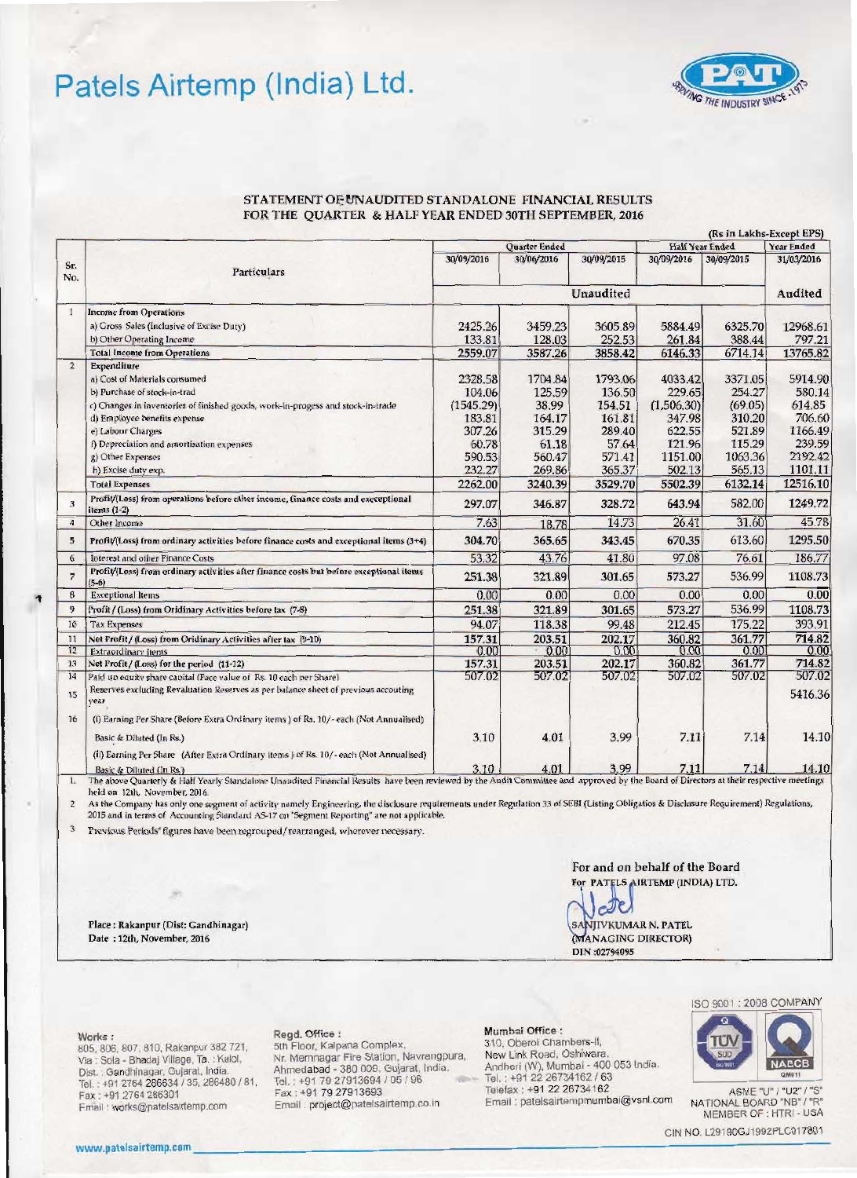## Patels Airtemp (India) Ltd.



### STATEMENT OF UNAUDITED STANDALONE FINANCIAL RESULTS FOR THE QUARTER & HALF YEAR ENDED 30TH SEPTEMBER, 2016

|                         | (Rs in Lakhs-Except EPS)                                                                                                                                                                                           |                                                         |         |         |                                             |         |                          |  |
|-------------------------|--------------------------------------------------------------------------------------------------------------------------------------------------------------------------------------------------------------------|---------------------------------------------------------|---------|---------|---------------------------------------------|---------|--------------------------|--|
| Sr.<br>No.              | <b>Particulars</b>                                                                                                                                                                                                 | Quarter Ended<br>30/09/2016<br>30/06/2016<br>30/09/2015 |         |         | Half Year Ended<br>30/09/2015<br>30/09/2016 |         | Year Ended<br>31/03/2016 |  |
|                         |                                                                                                                                                                                                                    |                                                         |         |         |                                             |         |                          |  |
|                         |                                                                                                                                                                                                                    | <b>Unaudited</b>                                        |         |         |                                             | Audited |                          |  |
| $\mathbf{I}$            | <b>Income from Operations</b>                                                                                                                                                                                      |                                                         |         |         |                                             |         |                          |  |
|                         | a) Gross Sales (Inclusive of Excise Duty)                                                                                                                                                                          | 2425.26                                                 | 3459.23 | 3605.89 | 5884.49                                     | 6325.70 | 12968.61                 |  |
|                         | b) Other Operating Income                                                                                                                                                                                          | 133.81                                                  | 128.03  | 252.53  | 261.84                                      | 388.44  | 797.21                   |  |
|                         | <b>Total Income from Operations</b>                                                                                                                                                                                | 2559.07                                                 | 3587.26 | 3858.42 | 6146,33                                     | 6714.14 | 13765.82                 |  |
| $\mathbf{2}$            | Expenditure                                                                                                                                                                                                        |                                                         |         |         |                                             |         |                          |  |
|                         | a) Cost of Materials consumed                                                                                                                                                                                      | 2328.58                                                 | 1704.84 | 1793.06 | 4033.42                                     | 3371.05 | 5914.90                  |  |
|                         | b) Purchase of stock-in-trad                                                                                                                                                                                       | 104.06                                                  | 125.59  | 136.50  | 229.65                                      | 254.27  | 580.14                   |  |
|                         | c) Changes in inventories of finished goods, work-in-progess and stock-in-trade                                                                                                                                    | (1545.29)                                               | 38.99   | 154.51  | (1,506.30)                                  | (69.05) | 614.85                   |  |
|                         | d) Employee benefits expense                                                                                                                                                                                       | 183.81                                                  | 164.17  | 161.81  | 347.98                                      | 310.20  | 706.60                   |  |
|                         | e) Labour Charges                                                                                                                                                                                                  | 307.26                                                  | 315.29  | 289.40  | 622.55                                      | 521.89  | 1166.49                  |  |
|                         | f) Depreciation and amortisation expenses                                                                                                                                                                          | 60.78                                                   | 61.18   | 57.64   | 121.96                                      | 115.29  | 239.59                   |  |
|                         | g) Other Expenses                                                                                                                                                                                                  | 590.53                                                  | 560.47  | 571.41  | 1151.00                                     | 1063.36 | 2192.42                  |  |
|                         | h) Excise duty exp.                                                                                                                                                                                                | 232.27                                                  | 269.86  | 365.37  | 502.13                                      | 565.13  | 1101.11                  |  |
|                         | <b>Total Expenses</b>                                                                                                                                                                                              | 2262.00                                                 | 3240.39 | 3529.70 | 5502.39                                     | 6132.14 | 12516.10                 |  |
| $\overline{\mathbf{3}}$ | Profit/(Loss) from operations before other income, finance costs and execeptional<br>items $(1-2)$                                                                                                                 | 297.07                                                  | 346.87  | 328,72  | 643.94                                      | 582.00  | 1249.72                  |  |
| $\boldsymbol{A}$        | Other Income                                                                                                                                                                                                       | 7.63                                                    | 18.78   | 14.73   | 26.41                                       | 31.60   | 45.78                    |  |
| 5                       | Profit/(Loss) from ordinary activities before finance costs and exceptional items (3+4)                                                                                                                            | 304.70                                                  | 365.65  | 343.45  | 670.35                                      | 613.60  | 1295.50                  |  |
| 6                       | Interest and other Finance Costs                                                                                                                                                                                   | 53.32                                                   | 43.76   | 41.80   | 97.08                                       | 76.61   | 186.77                   |  |
| $\overline{7}$          | Profit/(Loss) from ordinary activities after finance costs but before exceptional items<br>$(5-6)$                                                                                                                 | 251.38                                                  | 321.89  | 301.65  | 573.27                                      | 536.99  | 1108.73                  |  |
| 8                       | <b>Exceptional Items</b>                                                                                                                                                                                           | 0.00                                                    | 0.00    | 0.00    | 0.00                                        | 0.00    | 0.00                     |  |
| 9                       | Profit / (Loss) from Oridinary Activities before tax (7-8)                                                                                                                                                         | 251.38                                                  | 321.89  | 301.65  | 573.27                                      | 536.99  | 1108.73                  |  |
| 10                      | <b>Tax Expenses</b>                                                                                                                                                                                                | 94.07                                                   | 118.38  | 99.48   | 212.45                                      | 175.22  | 393.91                   |  |
| 11                      | Net Profit / (Loss) from Oridinary Activities after tax (9-10)                                                                                                                                                     | 157.31                                                  | 203.51  | 202.17  | 360.82                                      | 361.77  | 714.82                   |  |
| 12                      | Extraordinary items                                                                                                                                                                                                | 0.00                                                    | 0.00    | 0.00    | 0.00                                        | 0.00    | 0.00                     |  |
| 13                      | Net Profit / (Loss) for the period (11-12)                                                                                                                                                                         | 157.31                                                  | 203.51  | 202.17  | 360.82                                      | 361.77  | 714.82                   |  |
| 14                      | Paid up equity share capital (Face value of Rs. 10 each per Share).                                                                                                                                                | 507.02                                                  | 507.02  | 507.02  | 507.02                                      | 507.02  | 507.02                   |  |
| 15                      | Reserves excluding Revaluation Reserves as per balance sheet of previous accouting<br>vear                                                                                                                         |                                                         |         |         |                                             |         | 5416.36                  |  |
| 16                      | (i) Earning Per Share (Before Extra Ordinary items) of Rs. 10/-each (Not Annualised)                                                                                                                               |                                                         |         |         |                                             |         |                          |  |
|                         | Basic & Diluted (In Rs.)                                                                                                                                                                                           | 3.10                                                    | 4.01    | 3.99    | 7.11                                        | 7.14    | 14.10                    |  |
|                         | (ii) Earning Per Share (After Extra Ordinary items) of Rs. 10/-each (Not Annualised)                                                                                                                               |                                                         |         |         |                                             |         |                          |  |
| $\mathbf{L}$            | Basic & Diluted (In Rs.)<br>The above Quarterly & Half Yearly Standalone Unaudited Financial Results have been reviewed by the Audit Committee and approved by the Board of Directors at their respective meetings | 3.10                                                    | 4.01    | 3.99    | 7.11                                        | 7.14    | 14.10                    |  |

held on 12th, November, 2016.

As the Company has only one segment of activity namely Engineering, the disclosure requirements under Regulation 33 of SEBI (Listing Obligatios & Disclosure Requirement) Regulations,  $\overline{2}$ 2015 and in terms of Accounting Standard AS-17 on "Segment Reporting" are not applicable.

 $\overline{3}$ Previous Periods' figures have been regrouped/rearranged, wherever necessary.

> For and on behalf of the Board For PATELS AIRTEMP (INDIA) LTD.

cell SANJIVKUMAR N. PATEL (MANAGING DIRECTOR) DIN:02794095

Place: Rakanpur (Dist: Gandhinagar) Date: 12th, November, 2016

Works:

805, 806, 807, 810, Rakanpur 382 721, Via : Sola - Bhadaj Village, Ta. : Kalol,<br>Dist. : Gandhinagar, Gujarat, India. Tel.: +91 2764 286634 / 35, 286480 / 81, Fax: +91 2764 286301 Email: works@patelsairtemp.com

### Regd. Office :

5th Floor, Kalpana Complex, Nr. Memnagar Fire Station, Navrangpura, Ahmedabad - 380 009, Gujarat, India.<br>Tel. : +91 79 27913694 / 95 / 96 Fax: +91 79 27913693 Email: project@patelsairtemp.co.in

### Mumbai Office :

310, Oberoi Chambers-II, New Link Road, Oshiwara, Andheri (W), Mumbai - 400 053 India.<br>Tel. : +91 22 26734162 / 63 Telefax : +91 22 26734162 Email : patelsairtempmumbai@vsnl.com

2008 COMPANY **ISO 9001** 



ASME "U" / "U2" / "S" NATIONAL BOARD "NB" / "R" MEMBER OF : HTRI - USA

CIN NO. L29190GJ1992PLC017801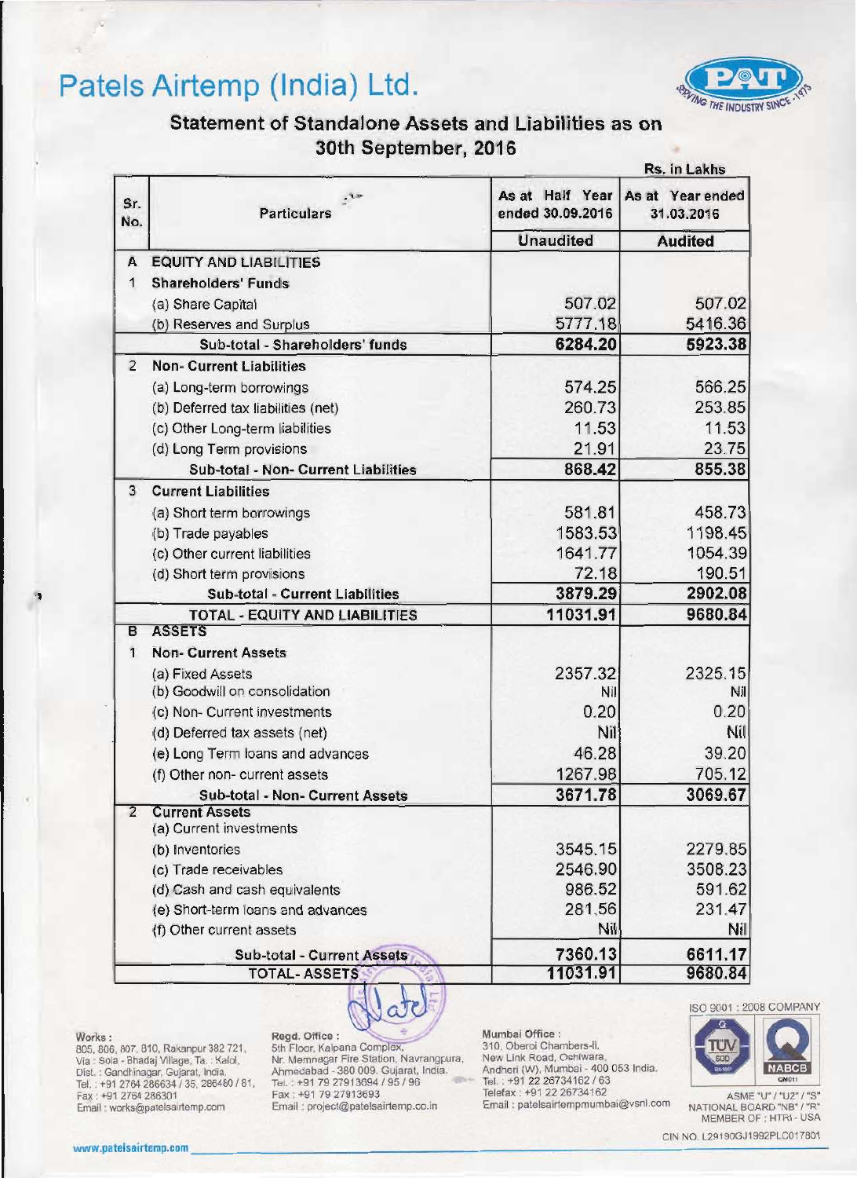# Patels Airtemp (India) Ltd.



## Statement of Standalone Assets and Liabilities as on 30th September, 2016

| <b>Particulars</b><br><b>EQUITY AND LIABILITIES</b><br><b>Shareholders' Funds</b><br>(a) Share Capital<br>(b) Reserves and Surplus<br>Sub-total - Shareholders' funds<br><b>Non- Current Liabilities</b><br>(a) Long-term borrowings<br>(b) Deferred tax liabilities (net) | As at Half Year<br>ended 30.09.2016<br><b>Unaudited</b><br>507.02<br>5777.18<br>6284.20<br>574.25                                                                                                                                                                                                                                                                                                                                                                                                                                                                                                                                                                                                                                             | As at Year ended<br>31.03.2016<br><b>Audited</b><br>507.02<br>5923.38                                                                                  |
|----------------------------------------------------------------------------------------------------------------------------------------------------------------------------------------------------------------------------------------------------------------------------|-----------------------------------------------------------------------------------------------------------------------------------------------------------------------------------------------------------------------------------------------------------------------------------------------------------------------------------------------------------------------------------------------------------------------------------------------------------------------------------------------------------------------------------------------------------------------------------------------------------------------------------------------------------------------------------------------------------------------------------------------|--------------------------------------------------------------------------------------------------------------------------------------------------------|
|                                                                                                                                                                                                                                                                            |                                                                                                                                                                                                                                                                                                                                                                                                                                                                                                                                                                                                                                                                                                                                               |                                                                                                                                                        |
|                                                                                                                                                                                                                                                                            |                                                                                                                                                                                                                                                                                                                                                                                                                                                                                                                                                                                                                                                                                                                                               | 5416.36                                                                                                                                                |
|                                                                                                                                                                                                                                                                            |                                                                                                                                                                                                                                                                                                                                                                                                                                                                                                                                                                                                                                                                                                                                               |                                                                                                                                                        |
|                                                                                                                                                                                                                                                                            |                                                                                                                                                                                                                                                                                                                                                                                                                                                                                                                                                                                                                                                                                                                                               |                                                                                                                                                        |
|                                                                                                                                                                                                                                                                            |                                                                                                                                                                                                                                                                                                                                                                                                                                                                                                                                                                                                                                                                                                                                               |                                                                                                                                                        |
|                                                                                                                                                                                                                                                                            |                                                                                                                                                                                                                                                                                                                                                                                                                                                                                                                                                                                                                                                                                                                                               |                                                                                                                                                        |
|                                                                                                                                                                                                                                                                            |                                                                                                                                                                                                                                                                                                                                                                                                                                                                                                                                                                                                                                                                                                                                               |                                                                                                                                                        |
|                                                                                                                                                                                                                                                                            |                                                                                                                                                                                                                                                                                                                                                                                                                                                                                                                                                                                                                                                                                                                                               |                                                                                                                                                        |
|                                                                                                                                                                                                                                                                            |                                                                                                                                                                                                                                                                                                                                                                                                                                                                                                                                                                                                                                                                                                                                               | 566.25                                                                                                                                                 |
|                                                                                                                                                                                                                                                                            | 260.73                                                                                                                                                                                                                                                                                                                                                                                                                                                                                                                                                                                                                                                                                                                                        | 253.85                                                                                                                                                 |
|                                                                                                                                                                                                                                                                            | 11.53                                                                                                                                                                                                                                                                                                                                                                                                                                                                                                                                                                                                                                                                                                                                         | 11.53                                                                                                                                                  |
|                                                                                                                                                                                                                                                                            | 21.91                                                                                                                                                                                                                                                                                                                                                                                                                                                                                                                                                                                                                                                                                                                                         | 23.75                                                                                                                                                  |
| Sub-total - Non- Current Liabilities                                                                                                                                                                                                                                       | 868.42                                                                                                                                                                                                                                                                                                                                                                                                                                                                                                                                                                                                                                                                                                                                        | 855.38                                                                                                                                                 |
|                                                                                                                                                                                                                                                                            |                                                                                                                                                                                                                                                                                                                                                                                                                                                                                                                                                                                                                                                                                                                                               |                                                                                                                                                        |
|                                                                                                                                                                                                                                                                            | 581.81                                                                                                                                                                                                                                                                                                                                                                                                                                                                                                                                                                                                                                                                                                                                        | 458.73                                                                                                                                                 |
|                                                                                                                                                                                                                                                                            |                                                                                                                                                                                                                                                                                                                                                                                                                                                                                                                                                                                                                                                                                                                                               | 1198.45                                                                                                                                                |
|                                                                                                                                                                                                                                                                            | 1641.77                                                                                                                                                                                                                                                                                                                                                                                                                                                                                                                                                                                                                                                                                                                                       | 1054.39                                                                                                                                                |
|                                                                                                                                                                                                                                                                            | 72.18                                                                                                                                                                                                                                                                                                                                                                                                                                                                                                                                                                                                                                                                                                                                         | 190.51                                                                                                                                                 |
| <b>Sub-total - Current Liabilities</b>                                                                                                                                                                                                                                     | 3879.29                                                                                                                                                                                                                                                                                                                                                                                                                                                                                                                                                                                                                                                                                                                                       | 2902.08                                                                                                                                                |
| TOTAL - EQUITY AND LIABILITIES                                                                                                                                                                                                                                             | 11031.91                                                                                                                                                                                                                                                                                                                                                                                                                                                                                                                                                                                                                                                                                                                                      | 9680.84                                                                                                                                                |
|                                                                                                                                                                                                                                                                            |                                                                                                                                                                                                                                                                                                                                                                                                                                                                                                                                                                                                                                                                                                                                               |                                                                                                                                                        |
|                                                                                                                                                                                                                                                                            |                                                                                                                                                                                                                                                                                                                                                                                                                                                                                                                                                                                                                                                                                                                                               |                                                                                                                                                        |
|                                                                                                                                                                                                                                                                            |                                                                                                                                                                                                                                                                                                                                                                                                                                                                                                                                                                                                                                                                                                                                               | 2325.15                                                                                                                                                |
|                                                                                                                                                                                                                                                                            |                                                                                                                                                                                                                                                                                                                                                                                                                                                                                                                                                                                                                                                                                                                                               | Nil                                                                                                                                                    |
|                                                                                                                                                                                                                                                                            |                                                                                                                                                                                                                                                                                                                                                                                                                                                                                                                                                                                                                                                                                                                                               | 0.20                                                                                                                                                   |
|                                                                                                                                                                                                                                                                            |                                                                                                                                                                                                                                                                                                                                                                                                                                                                                                                                                                                                                                                                                                                                               | Nil                                                                                                                                                    |
|                                                                                                                                                                                                                                                                            |                                                                                                                                                                                                                                                                                                                                                                                                                                                                                                                                                                                                                                                                                                                                               | 39.20                                                                                                                                                  |
|                                                                                                                                                                                                                                                                            |                                                                                                                                                                                                                                                                                                                                                                                                                                                                                                                                                                                                                                                                                                                                               | 705.12                                                                                                                                                 |
|                                                                                                                                                                                                                                                                            |                                                                                                                                                                                                                                                                                                                                                                                                                                                                                                                                                                                                                                                                                                                                               | 3069.67                                                                                                                                                |
|                                                                                                                                                                                                                                                                            |                                                                                                                                                                                                                                                                                                                                                                                                                                                                                                                                                                                                                                                                                                                                               |                                                                                                                                                        |
|                                                                                                                                                                                                                                                                            |                                                                                                                                                                                                                                                                                                                                                                                                                                                                                                                                                                                                                                                                                                                                               | 2279.85                                                                                                                                                |
|                                                                                                                                                                                                                                                                            |                                                                                                                                                                                                                                                                                                                                                                                                                                                                                                                                                                                                                                                                                                                                               | 3508.23                                                                                                                                                |
|                                                                                                                                                                                                                                                                            |                                                                                                                                                                                                                                                                                                                                                                                                                                                                                                                                                                                                                                                                                                                                               | 591.62                                                                                                                                                 |
|                                                                                                                                                                                                                                                                            |                                                                                                                                                                                                                                                                                                                                                                                                                                                                                                                                                                                                                                                                                                                                               | 231.47                                                                                                                                                 |
|                                                                                                                                                                                                                                                                            |                                                                                                                                                                                                                                                                                                                                                                                                                                                                                                                                                                                                                                                                                                                                               | Nil                                                                                                                                                    |
|                                                                                                                                                                                                                                                                            |                                                                                                                                                                                                                                                                                                                                                                                                                                                                                                                                                                                                                                                                                                                                               | 6611.17                                                                                                                                                |
|                                                                                                                                                                                                                                                                            |                                                                                                                                                                                                                                                                                                                                                                                                                                                                                                                                                                                                                                                                                                                                               | 9680.84                                                                                                                                                |
|                                                                                                                                                                                                                                                                            | (c) Other Long-term liabilities<br>(d) Long Term provisions<br><b>Current Liabilities</b><br>(a) Short term borrowings<br>(b) Trade payables<br>(c) Other current liabilities<br>(d) Short term provisions<br><b>ASSETS</b><br><b>Non-Current Assets</b><br>(a) Fixed Assets<br>(b) Goodwill on consolidation<br>(c) Non- Current investments<br>(d) Deferred tax assets (net)<br>(e) Long Term loans and advances<br>(f) Other non- current assets<br>Sub-total - Non- Current Assets<br><b>Current Assets</b><br>(a) Current investments<br>(b) Inventories<br>(c) Trade receivables<br>(d) Cash and cash equivalents<br>(e) Short-term loans and advances<br>(f) Other current assets<br>Sub-total - Current Assets<br><b>TOTAL-ASSETS</b> | 1583.53<br>2357.32<br>Nil<br>0.20<br>Nil<br>46.28<br>1267.98<br>3671.78<br>3545.15<br>2546.90<br>986.52<br>281.56<br><b>Nil</b><br>7360.13<br>11031.91 |

 $\left(\frac{1}{2}x\right)$  so  $\frac{1}{2}$ Works: Regd. Office : Numbal Office :

Tel. : +91 2764 286634 / 35, 286480 / 81. Tel. : +91 79 27913694 / 95 / 96 Tel. : +91 22 26734162 / 63

Email : project@patelsairtemp.co.in

Works :<br>
Regd. Office :<br>
Mumbai Office :<br>
Mumbai Office :<br>
210, Oberol Chambers-II,<br>
Via : Sola - Bhadaj Village, Ta. : Kalol, Nr. Memnagar Fire Station, Navrangpura, New Link Road, Oshiwara,<br>
Dist. : Gandhinagar, Gujarat, Fax: +91 79 27913693 Telefax : +91 79 27913693 Telefax : +91 22 26734162 Fall: Gondhing an, Guist, Chiene Schwarz Tel. : +91 22 26734162 Fax : +91 2764 286301 Fax : +91 79 27913694 / 95 / 96<br>
Fax : +91 2764 286301 Fax : +



MEMBER OF : HTRI - USA

WWW.patelsairtemp.com.<br>CIN NO. L29190GJ1992PLC017801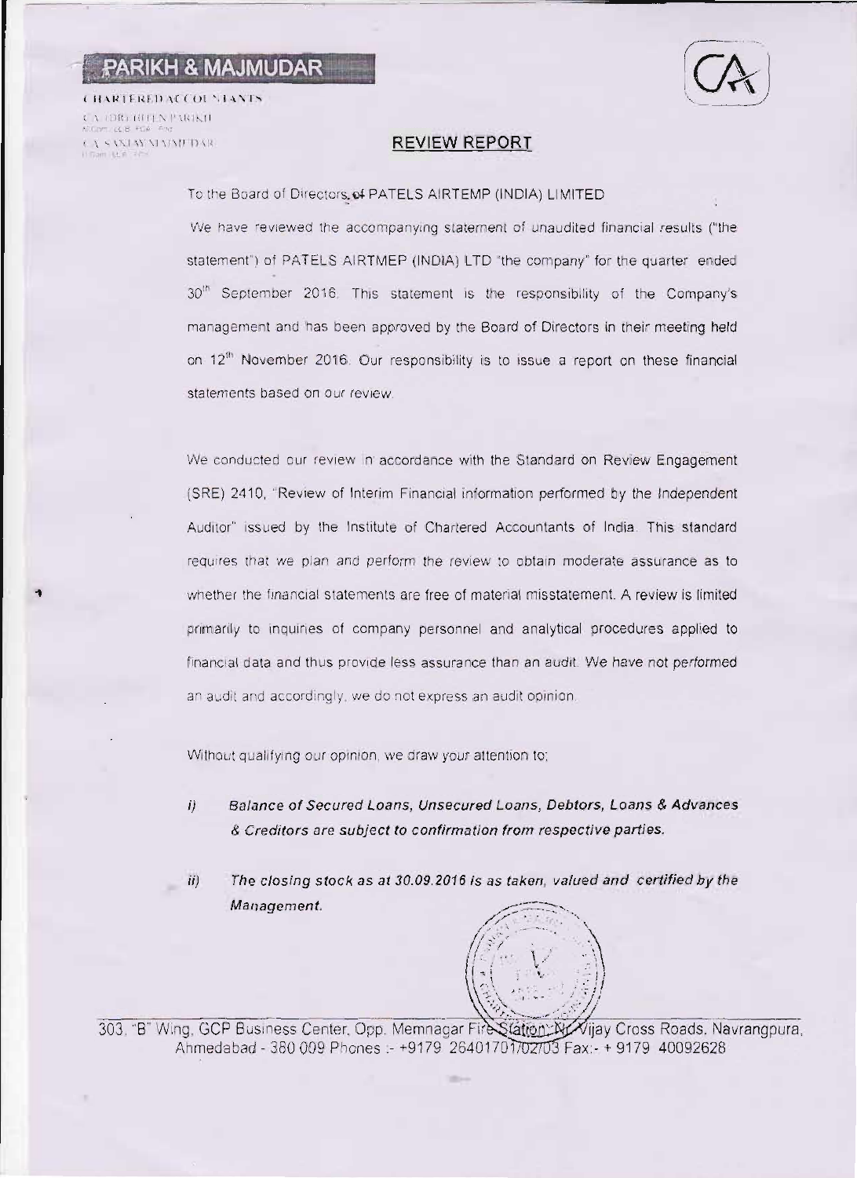## PARIKH & MAJMUDAR

**CHARTERED ACCOUNTANTS** CA (DR) HITLN PARIKIL CA SANDAY MADUTDAR  $145 - 44$ 

### **REVIEW REPORT**

To the Board of Directors of PATELS AIRTEMP (INDIA) LIMITED

We have reviewed the accompanying statement of unaudited financial results ("the statement") of PATELS AIRTMEP (INDIA) LTD "the company" for the quarter ended 30<sup>th</sup> September 2016. This statement is the responsibility of the Company's management and has been approved by the Board of Directors in their meeting held on 12<sup>th</sup> November 2016. Our responsibility is to issue a report on these financial statements based on our review.

We conducted our review in accordance with the Standard on Review Engagement (SRE) 2410, "Review of Interim Financial information performed by the Independent Auditor" issued by the Institute of Chartered Accountants of India. This standard requires that we plan and perform the review to obtain moderate assurance as to whether the financial statements are free of material misstatement. A review is limited primarily to inquiries of company personnel and analytical procedures applied to financial data and thus provide less assurance than an audit. We have not performed an audit and accordingly, we do not express an audit opinion.

Without qualifying our opinion, we draw your attention to:

Balance of Secured Loans, Unsecured Loans, Debtors, Loans & Advances  $ii$ & Creditors are subject to confirmation from respective parties.

The closing stock as at 30.09.2016 is as taken, valued and certified by the  $ii)$ Management.



303. "B" Wing, GCP Business Center, Opp. Memnagar Fire Station: W/Vijay Cross Roads, Navrangpura, Ahmedabad - 380 009 Phones :- +9179 26401701702703 Fax: - + 9179 40092628